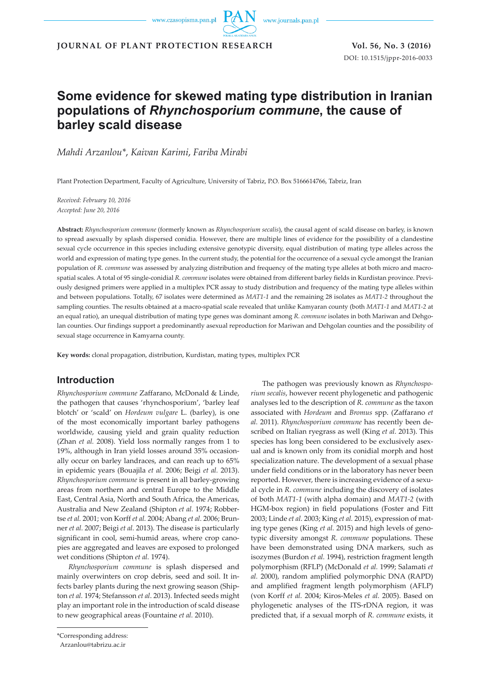www.journals.pan.pl

**JOURNAL OF PLANT PROTECTION RESEARCH Vol. 56, No. 3 (2016)**

DOI: 10.1515/jppr-2016-0033

# **Some evidence for skewed mating type distribution in Iranian populations of** *Rhynchosporium commune***, the cause of barley scald disease**

*Mahdi Arzanlou\**, *Kaivan Karimi*, *Fariba Mirabi*

Plant Protection Department, Faculty of Agriculture, University of Tabriz, P.O. Box 5166614766, Tabriz, Iran

*Received: February 10, 2016 Accepted: June 20, 2016*

**Abstract:** *Rhynchosporium commune* (formerly known as *Rhynchosporium secalis*), the causal agent of scald disease on barley, is known to spread asexually by splash dispersed conidia. However, there are multiple lines of evidence for the possibility of a clandestine sexual cycle occurrence in this species including extensive genotypic diversity, equal distribution of mating type alleles across the world and expression of mating type genes. In the current study, the potential for the occurrence of a sexual cycle amongst the Iranian population of *R. commune* was assessed by analyzing distribution and frequency of the mating type alleles at both micro and macrospatial scales. A total of 95 single-conidial *R. commune* isolates were obtained from different barley fields in Kurdistan province. Previously designed primers were applied in a multiplex PCR assay to study distribution and frequency of the mating type alleles within and between populations. Totally, 67 isolates were determined as *MAT1-1* and the remaining 28 isolates as *MAT1-2* throughout the sampling counties. The results obtained at a macro-spatial scale revealed that unlike Kamyaran county (both *MAT1-1* and *MAT1-2* at an equal ratio), an unequal distribution of mating type genes was dominant among *R. commune* isolates in both Mariwan and Dehgolan counties. Our findings support a predominantly asexual reproduction for Mariwan and Dehgolan counties and the possibility of sexual stage occurrence in Kamyarna county.

**Key words:** clonal propagation, distribution, Kurdistan, mating types, multiplex PCR

# **Introduction**

*Rhynchosporium commune* Zaffarano, McDonald & Linde, the pathogen that causes 'rhynchosporium', 'barley leaf blotch' or 'scald' on *Hordeum vulgare* L. (barley), is one of the most economically important barley pathogens worldwide, causing yield and grain quality reduction (Zhan *et al.* 2008). Yield loss normally ranges from 1 to 19%, although in Iran yield losses around 35% occasionally occur on barley landraces, and can reach up to 65% in epidemic years (Bouajila *et al.* 2006; Beigi *et al.* 2013). *Rhynchosporium commune* is present in all barley-growing areas from northern and central Europe to the Middle East, Central Asia, North and South Africa, the Americas, Australia and New Zealand (Shipton *et al.* 1974; Robbertse *et al.* 2001; von Korff *et al.* 2004; Abang *et al.* 2006; Brunner *et al.* 2007; Beigi *et al.* 2013). The disease is particularly significant in cool, semi-humid areas, where crop canopies are aggregated and leaves are exposed to prolonged wet conditions (Shipton *et al.* 1974).

*Rhynchosporium commune* is splash dispersed and mainly overwinters on crop debris, seed and soil. It infects barley plants during the next growing season (Shipton *et al.* 1974; Stefansson *et al*. 2013). Infected seeds might play an important role in the introduction of scald disease to new geographical areas (Fountaine *et al.* 2010).

*rium secalis*, however recent phylogenetic and pathogenic analyses led to the description of *R. commune* as the taxon associated with *Hordeum* and *Bromus* spp. (Zaffarano *et al.* 2011). *Rhynchosporium commune* has recently been described on Italian ryegrass as well (King *et al.* 2013). This species has long been considered to be exclusively asexual and is known only from its conidial morph and host specialization nature. The development of a sexual phase under field conditions or in the laboratory has never been reported. However, there is increasing evidence of a sexual cycle in *R*. *commune* including the discovery of isolates of both *MAT1-1* (with alpha domain) and *MAT1-2* (with HGM-box region) in field populations (Foster and Fitt 2003; Linde *et al.* 2003; King *et al.* 2015), expression of mating type genes (King *et al.* 2015) and high levels of genotypic diversity amongst *R. commune* populations. These have been demonstrated using DNA markers, such as isozymes (Burdon *et al.* 1994), restriction fragment length polymorphism (RFLP) (McDonald *et al.* 1999; Salamati *et al.* 2000), random amplified polymorphic DNA (RAPD) and amplified fragment length polymorphism (AFLP) (von Korff *et al.* 2004; Kiros-Meles *et al.* 2005). Based on phylogenetic analyses of the ITS-rDNA region, it was predicted that, if a sexual morph of *R. commune* exists, it

The pathogen was previously known as *Rhynchospo-*

<sup>\*</sup>Corresponding address:

Arzanlou@tabrizu.ac.ir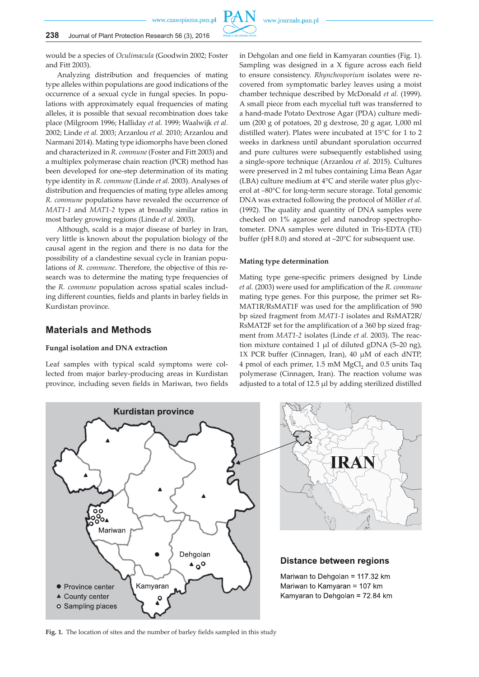would be a species of *Oculimacula* (Goodwin 2002; Foster and Fitt 2003).

Analyzing distribution and frequencies of mating type alleles within populations are good indications of the occurrence of a sexual cycle in fungal species. In populations with approximately equal frequencies of mating alleles, it is possible that sexual recombination does take place (Milgroom 1996; Halliday *et al.* 1999; Waalwijk *et al.* 2002; Linde *et al.* 2003; Arzanlou *et al.* 2010; Arzanlou and Narmani 2014). Mating type idiomorphs have been cloned and characterized in *R. commune* (Foster and Fitt 2003) and a multiplex polymerase chain reaction (PCR) method has been developed for one-step determination of its mating type identity in *R. commune* (Linde *et al.* 2003). Analyses of distribution and frequencies of mating type alleles among *R. commune* populations have revealed the occurrence of *MAT1-1* and *MAT1-2* types at broadly similar ratios in most barley growing regions (Linde *et al.* 2003).

Although, scald is a major disease of barley in Iran, very little is known about the population biology of the causal agent in the region and there is no data for the possibility of a clandestine sexual cycle in Iranian populations of *R. commune*. Therefore, the objective of this research was to determine the mating type frequencies of the *R. commune* population across spatial scales including different counties, fields and plants in barley fields in Kurdistan province.

# **Materials and Methods**

#### **Fungal isolation and DNA extraction**

Leaf samples with typical scald symptoms were collected from major barley-producing areas in Kurdistan province, including seven fields in Mariwan, two fields in Dehgolan and one field in Kamyaran counties (Fig. 1). Sampling was designed in a X figure across each field to ensure consistency. *Rhynchosporium* isolates were recovered from symptomatic barley leaves using a moist chamber technique described by McDonald *et al.* (1999). A small piece from each mycelial tuft was transferred to a hand-made Potato Dextrose Agar (PDA) culture medium (200 g of potatoes, 20 g dextrose, 20 g agar, 1,000 ml distilled water). Plates were incubated at 15°C for 1 to 2 weeks in darkness until abundant sporulation occurred and pure cultures were subsequently established using a single-spore technique (Arzanlou *et al.* 2015). Cultures were preserved in 2 ml tubes containing Lima Bean Agar (LBA) culture medium at 4°C and sterile water plus glycerol at –80°C for long-term secure storage. Total genomic DNA was extracted following the protocol of Möller *et al.* (1992). The quality and quantity of DNA samples were checked on 1% agarose gel and nanodrop spectrophotometer. DNA samples were diluted in Tris-EDTA (TE) buffer (pH 8.0) and stored at –20°C for subsequent use.

#### **Mating type determination**

Mating type gene-specific primers designed by Linde *et al.* (2003) were used for amplification of the *R. commune* mating type genes. For this purpose, the primer set Rs-MAT1R/RsMAT1F was used for the amplification of 590 bp sized fragment from *MAT1-1* isolates and RsMAT2R/ RsMAT2F set for the amplification of a 360 bp sized fragment from *MAT1-2* isolates (Linde *et al.* 2003). The reaction mixture contained 1 µl of diluted gDNA (5–20 ng), 1X PCR buffer (Cinnagen, Iran), 40 µM of each dNTP, 4 pmol of each primer, 1.5 mM MgCl<sub>2</sub> and 0.5 units Taq polymerase (Cinnagen, Iran). The reaction volume was adjusted to a total of 12.5 ul by adding sterilized distilled

**Fig. 1.** The location of sites and the number of barley fields sampled in this study



IRA

# **Distance between regions**

Mariwan to Dehgolan = 117.32 km Mariwan to Kamyaran = 107 km Kamvaran to Dehgolan = 72.84 km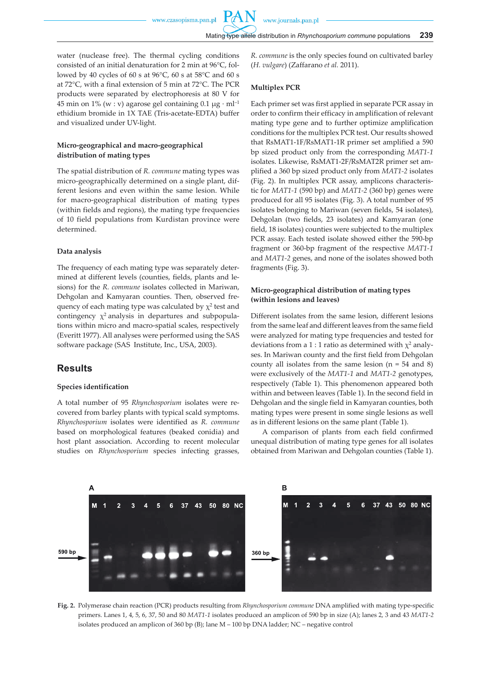water (nuclease free). The thermal cycling conditions consisted of an initial denaturation for 2 min at 96°C, followed by 40 cycles of 60 s at 96°C, 60 s at 58°C and 60 s at 72°C, with a final extension of 5 min at 72°C. The PCR products were separated by electrophoresis at 80 V for 45 min on 1% (w : v) agarose gel containing  $0.1 \mu$ g · ml<sup>-1</sup> ethidium bromide in 1X TAE (Tris-acetate-EDTA) buffer and visualized under UV-light.

### **Micro-geographical and macro-geographical distribution of mating types**

The spatial distribution of *R. commune* mating types was micro-geographically determined on a single plant, different lesions and even within the same lesion. While for macro-geographical distribution of mating types (within fields and regions), the mating type frequencies of 10 field populations from Kurdistan province were determined.

#### **Data analysis**

The frequency of each mating type was separately determined at different levels (counties, fields, plants and lesions) for the *R. commune* isolates collected in Mariwan, Dehgolan and Kamyaran counties. Then, observed frequency of each mating type was calculated by  $\chi^2$  test and contingency  $\chi^2$  analysis in departures and subpopulations within micro and macro-spatial scales, respectively (Everitt 1977). All analyses were performed using the SAS software package (SAS Institute, Inc., USA, 2003).

# **Results**

#### **Species identification**

A total number of 95 *Rhynchosporium* isolates were recovered from barley plants with typical scald symptoms. *Rhynchosporium* isolates were identified as *R. commune* based on morphological features (beaked conidia) and host plant association. According to recent molecular studies on *Rhynchosporium* species infecting grasses, *R. commune* is the only species found on cultivated barley (*H. vulgare*) (Zaffarano *et al.* 2011).

#### **Multiplex PCR**

Each primer set was first applied in separate PCR assay in order to confirm their efficacy in amplification of relevant mating type gene and to further optimize amplification conditions for the multiplex PCR test. Our results showed that RsMAT1-1F/RsMAT1-1R primer set amplified a 590 bp sized product only from the corresponding *MAT1-1*  isolates. Likewise, RsMAT1-2F/RsMAT2R primer set amplified a 360 bp sized product only from *MAT1-2* isolates (Fig. 2). In multiplex PCR assay, amplicons characteristic for *MAT1-1* (590 bp) and *MAT1-2* (360 bp) genes were produced for all 95 isolates (Fig. 3). A total number of 95 isolates belonging to Mariwan (seven fields, 54 isolates), Dehgolan (two fields, 23 isolates) and Kamyaran (one field, 18 isolates) counties were subjected to the multiplex PCR assay. Each tested isolate showed either the 590-bp fragment or 360-bp fragment of the respective *MAT1-1* and *MAT1-2* genes, and none of the isolates showed both fragments (Fig. 3).

### **Micro-geographical distribution of mating types (within lesions and leaves)**

Different isolates from the same lesion, different lesions from the same leaf and different leaves from the same field were analyzed for mating type frequencies and tested for deviations from a 1 : 1 ratio as determined with  $\chi^2$  analyses. In Mariwan county and the first field from Dehgolan county all isolates from the same lesion  $(n = 54$  and 8) were exclusively of the *MAT1-1* and *MAT1-2* genotypes, respectively (Table 1). This phenomenon appeared both within and between leaves (Table 1). In the second field in Dehgolan and the single field in Kamyaran counties, both mating types were present in some single lesions as well as in different lesions on the same plant (Table 1).

A comparison of plants from each field confirmed unequal distribution of mating type genes for all isolates obtained from Mariwan and Dehgolan counties (Table 1).



**Fig. 2.** Polymerase chain reaction (PCR) products resulting from *Rhynchosporium commune* DNA amplified with mating type-specific primers. Lanes 1, 4, 5, 6, 37, 50 and 80 *MAT1-1* isolates produced an amplicon of 590 bp in size (A); lanes 2, 3 and 43 *MAT1-2* isolates produced an amplicon of 360 bp (B); lane M – 100 bp DNA ladder; NC – negative control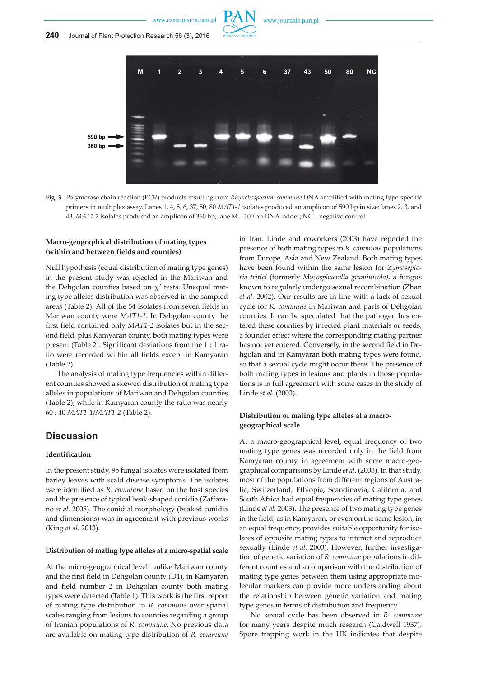



**Fig. 3.** Polymerase chain reaction (PCR) products resulting from *Rhynchosporium commune* DNA amplified with mating type-specific primers in multiplex assay. Lanes 1, 4, 5, 6, 37, 50, 80 *MAT1-1* isolates produced an amplicon of 590 bp in size; lanes 2, 3, and 43, *MAT1-2* isolates produced an amplicon of 360 bp; lane M – 100 bp DNA ladder; NC – negative control

# **Macro-geographical distribution of mating types (within and between fields and counties)**

Null hypothesis (equal distribution of mating type genes) in the present study was rejected in the Mariwan and the Dehgolan counties based on  $\chi^2$  tests. Unequal mating type alleles distribution was observed in the sampled areas (Table 2). All of the 54 isolates from seven fields in Mariwan county were *MAT1-1*. In Dehgolan county the first field contained only *MAT1-2* isolates but in the second field, plus Kamyaran county, both mating types were present (Table 2). Significant deviations from the 1 : 1 ratio were recorded within all fields except in Kamyaran (Table 2).

The analysis of mating type frequencies within different counties showed a skewed distribution of mating type alleles in populations of Mariwan and Dehgolan counties (Table 2), while in Kamyaran county the ratio was nearly 60 : 40 *MAT1-1*/*MAT1-2* (Table 2).

# **Discussion**

# **Identification**

In the present study, 95 fungal isolates were isolated from barley leaves with scald disease symptoms. The isolates were identified as *R. commune* based on the host species and the presence of typical beak-shaped conidia (Zaffarano *et al.* 2008). The conidial morphology (beaked conidia and dimensions) was in agreement with previous works (King *et al.* 2013).

### **Distribution of mating type alleles at a micro-spatial scale**

At the micro-geographical level: unlike Mariwan county and the first field in Dehgolan county (D1), in Kamyaran and field number 2 in Dehgolan county both mating types were detected (Table 1). This work is the first report of mating type distribution in *R. commune* over spatial scales ranging from lesions to counties regarding a group of Iranian populations of *R. commune*. No previous data are available on mating type distribution of *R. commune* in Iran. Linde and coworkers (2003) have reported the presence of both mating types in *R. commune* populations from Europe, Asia and New Zealand. Both mating types have been found within the same lesion for *Zymoseptoria tritici* (formerly *Mycosphaerella graminicola)*, a fungus known to regularly undergo sexual recombination (Zhan *et al.* 2002). Our results are in line with a lack of sexual cycle for *R. commune* in Mariwan and parts of Dehgolan counties. It can be speculated that the pathogen has entered these counties by infected plant materials or seeds, a founder effect where the corresponding mating partner has not yet entered. Conversely, in the second field in Dehgolan and in Kamyaran both mating types were found, so that a sexual cycle might occur there. The presence of both mating types in lesions and plants in those populations is in full agreement with some cases in the study of Linde *et al.* (2003).

# **Distribution of mating type alleles at a macrogeographical scale**

At a macro-geographical level**,** equal frequency of two mating type genes was recorded only in the field from Kamyaran county, in agreement with some macro-geographical comparisons by Linde *et al.* (2003). In that study, most of the populations from different regions of Australia, Switzerland, Ethiopia, Scandinavia, California, and South Africa had equal frequencies of mating type genes (Linde *et al.* 2003). The presence of two mating type genes in the field, as in Kamyaran, or even on the same lesion, in an equal frequency, provides suitable opportunity for isolates of opposite mating types to interact and reproduce sexually (Linde *et al.* 2003). However, further investigation of genetic variation of *R. commune* populations in different counties and a comparison with the distribution of mating type genes between them using appropriate molecular markers can provide more understanding about the relationship between genetic variation and mating type genes in terms of distribution and frequency.

No sexual cycle has been observed in *R. commune* for many years despite much research (Caldwell 1937). Spore trapping work in the UK indicates that despite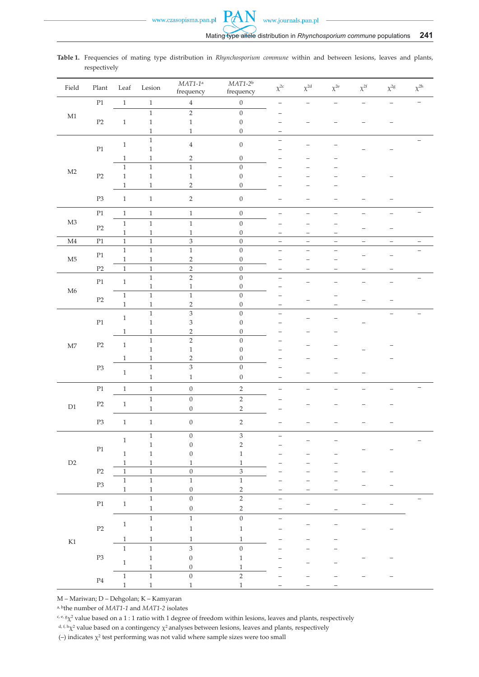4 0 – – – – – –

–

– –

– –

|       | respectively   |      |        |                        | Table 1. Frequencies of mating type distribution in Rhynchosporium commune within and between lesions, leaves and plants, |             |             |             |             |             |             |
|-------|----------------|------|--------|------------------------|---------------------------------------------------------------------------------------------------------------------------|-------------|-------------|-------------|-------------|-------------|-------------|
| Field | Plant          | Leaf | Lesion | $MAT1-1a$<br>frequency | $MAT1-2b$<br>frequency                                                                                                    | $\chi^{2c}$ | $\chi^{2d}$ | $\chi^{2e}$ | $\chi^{2f}$ | $\chi^{2g}$ | $\chi^{2h}$ |
|       | P <sub>1</sub> |      |        | $\overline{4}$         | $\Omega$                                                                                                                  |             |             |             |             |             |             |
| M1    |                |      |        |                        |                                                                                                                           | -           |             |             |             |             |             |
|       | P <sub>2</sub> |      |        |                        |                                                                                                                           |             |             |             |             |             |             |
|       |                |      |        |                        |                                                                                                                           |             |             |             |             |             |             |

1 –

1 1 2 0 – – –

1 1 1 0 – – –

1 1 2 0 – – –

1 1 2 0 – – –

1 1 2 0 – – –

1 0 –

1 3 0 –

P3 1 1 2 0 – – – – –

M4 P1 1 1 3 0 – – – – – –

P2 1 1 2 0 – – – – – –

1 1 1 0 – – – – –

P1 1 1 1 0 – – – – – –

1 1 1 0 – – – – –<br>1 1 1 0 – – – –

1 1 1 0 – – – –<br>1 1 2 0 – – – –

1 3 0 – – – –<br>1 3 0 – – – –

1 1 2 0 – – – – –

1 3 0 – – – –<br>1 1 0 – – – –

P1 1 1 0 2 – – – – – –

P3 1 1 0 2 – – – – –

<sup>1</sup> <sup>0</sup> <sup>3</sup> – – –

P2 1 1 0 3 – – – – –

1 1 1 1 – – – – –<br>1 1 0 2 – – – –

– – <sup>1</sup>  $\begin{array}{ccccccccc}\n1 & & 0 & & 1 & & - & & - & & - \\
1 & & 0 & & 1 & & - & & - & & - \\
\end{array}$ 

1 1 0 2 – – – – –

1 1 0 1 – – – 1 1 1 – – –

1 1 1 – – –

1 1 3 0 – – –

1 1 1 – – –

1 0 2 –

1 1 1 0 – – – – – –<br>1 1 2 0 – – – – – –

1 2 0 – – – – –<br>1 1 0 – – – –

1 0 2 – – – – –<br>1 0 2 – – – –

– <sup>1</sup> <sup>0</sup> <sup>2</sup> –

1 0 2 – – – – –<br>1 0 2 – – – – –

1 1 0 – – – – –<br>1 1 1 1 – – – – –

1 2 0 – – – – – –

**PAN** 

| M – Mariwan; D – Dehgolan; K – Kamyaran |  |
|-----------------------------------------|--|
|                                         |  |

M2

M3

M5

M6

M7

D1

D2

K1

P1

P2

P2

P1

P2

P1

P3

P1

P3

P2

P3

P4

P1 1

P1 1

P2 1

P2 1

1

1

1

1

1

1

a, bthe number of *MAT1-1* and *MAT1-2* isolates

c, e, gχ2 value based on a 1 : 1 ratio with 1 degree of freedom within lesions, leaves and plants, respectively

(–) indicates  $\chi^2$  test performing was not valid where sample sizes were too small

<sup>&</sup>lt;sup>d, f, h</sup>χ<sup>2</sup> value based on a contingency  $\chi^2$  analyses between lesions, leaves and plants, respectively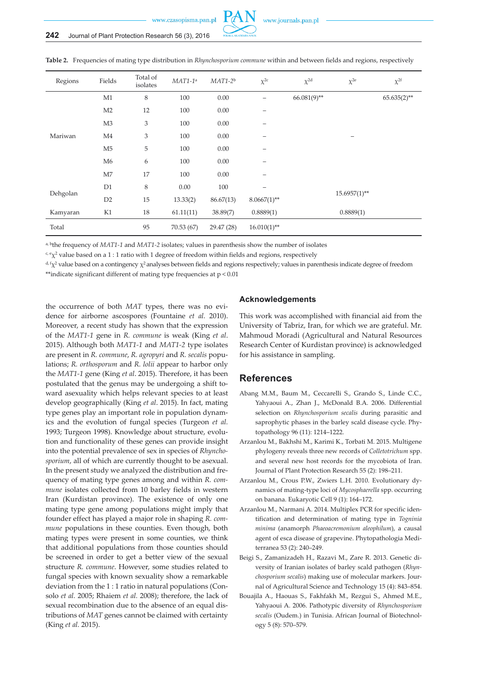



**Table 2.** Frequencies of mating type distribution in *Rhynchosporium commune* within and between fields and regions, respectively

a, bthe frequency of *MAT1-1* and *MAT1-2* isolates; values in parenthesis show the number of isolates

 $c<sub>e</sub> \gamma<sub>2</sub>$  value based on a 1 : 1 ratio with 1 degree of freedom within fields and regions, respectively

 $d_f(x)$  value based on a contingency  $\chi^2$  analyses between fields and regions respectively; values in parenthesis indicate degree of freedom \*\*indicate significant different of mating type frequencies at p < 0.01

the occurrence of both *MAT* types, there was no evidence for airborne ascospores (Fountaine *et al.* 2010). Moreover, a recent study has shown that the expression of the *MAT1-1* gene in *R. commune* is weak (King *et al*. 2015). Although both *MAT1-1* and *MAT1-2* type isolates are present in *R. commune*, *R. agropyri* and *R. secalis* populations; *R. orthosporum* and *R. lolii* appear to harbor only the *MAT1-1* gene (King *et al*. 2015). Therefore, it has been postulated that the genus may be undergoing a shift toward asexuality which helps relevant species to at least develop geographically (King *et al*. 2015). In fact, mating type genes play an important role in population dynamics and the evolution of fungal species (Turgeon *et al.* 1993; Turgeon 1998). Knowledge about structure, evolution and functionality of these genes can provide insight into the potential prevalence of sex in species of *Rhynchosporium*, all of which are currently thought to be asexual. In the present study we analyzed the distribution and frequency of mating type genes among and within *R. commune* isolates collected from 10 barley fields in western Iran (Kurdistan province). The existence of only one mating type gene among populations might imply that founder effect has played a major role in shaping *R. commune* populations in these counties. Even though, both mating types were present in some counties, we think that additional populations from those counties should be screened in order to get a better view of the sexual structure *R. commune*. However, some studies related to fungal species with known sexuality show a remarkable deviation from the 1 : 1 ratio in natural populations (Consolo *et al.* 2005; Rhaiem *et al.* 2008); therefore, the lack of sexual recombination due to the absence of an equal distributions of *MAT* genes cannot be claimed with certainty (King *et al.* 2015).

#### **Acknowledgements**

This work was accomplished with financial aid from the University of Tabriz, Iran, for which we are grateful. Mr. Mahmoud Moradi (Agricultural and Natural Resources Research Center of Kurdistan province) is acknowledged for his assistance in sampling.

# **References**

- Abang M.M., Baum M., Ceccarelli S., Grando S., Linde C.C., Yahyaoui A., Zhan J., McDonald B.A. 2006. Differential selection on *Rhynchosporium secalis* during parasitic and saprophytic phases in the barley scald disease cycle. Phytopathology 96 (11): 1214–1222.
- Arzanlou M., Bakhshi M., Karimi K., Torbati M. 2015. Multigene phylogeny reveals three new records of *Colletotrichum* spp. and several new host records for the mycobiota of Iran. Journal of Plant Protection Research 55 (2): 198–211.
- Arzanlou M., Crous P.W., Zwiers L.H. 2010. Evolutionary dynamics of mating-type loci of *Mycosphaerella* spp. occurring on banana. Eukaryotic Cell 9 (1): 164–172.
- Arzanlou M., Narmani A. 2014. Multiplex PCR for specific identification and determination of mating type in *Togninia minima* (anamorph *Phaeoacremonium aleophilum*), a causal agent of esca disease of grapevine. Phytopathologia Mediterranea 53 (2): 240–249.
- Beigi S., Zamanizadeh H., Razavi M., Zare R. 2013. Genetic diversity of Iranian isolates of barley scald pathogen (*Rhynchosporium secalis*) making use of molecular markers. Journal of Agricultural Science and Technology 15 (4): 843–854.
- Bouajila A., Haouas S., Fakhfakh M., Rezgui S., Ahmed M.E., Yahyaoui A. 2006. Pathotypic diversity of *Rhynchosporium secalis* (Oudem.) in Tunisia. African Journal of Biotechnology 5 (8): 570–579.